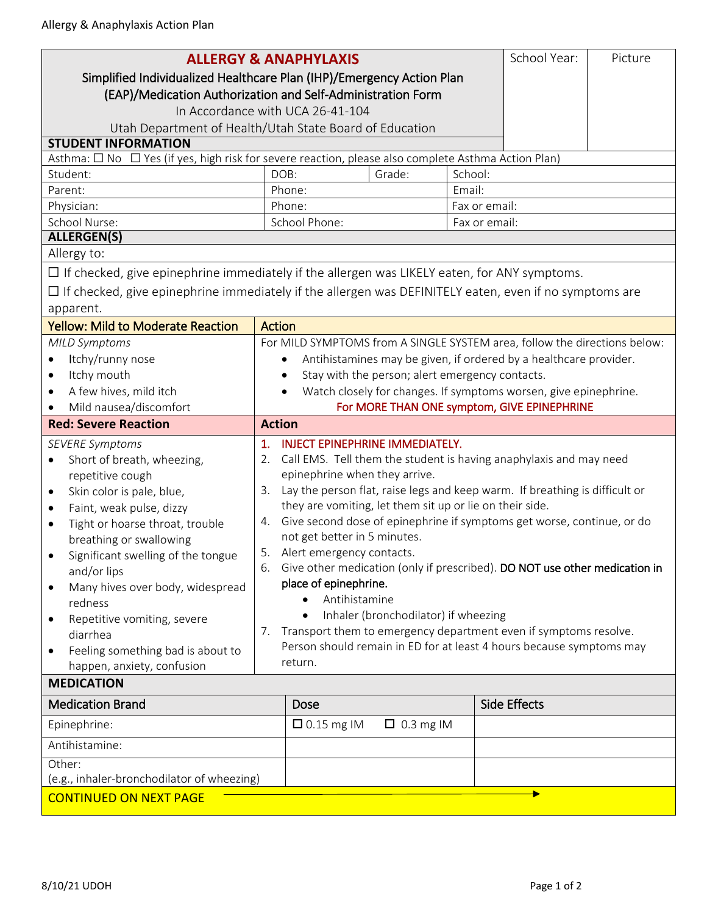| <b>ALLERGY &amp; ANAPHYLAXIS</b>                                                                              |                                                                                   |                                        |                  |  | School Year:        | Picture |  |
|---------------------------------------------------------------------------------------------------------------|-----------------------------------------------------------------------------------|----------------------------------------|------------------|--|---------------------|---------|--|
| Simplified Individualized Healthcare Plan (IHP)/Emergency Action Plan                                         |                                                                                   |                                        |                  |  |                     |         |  |
| (EAP)/Medication Authorization and Self-Administration Form                                                   |                                                                                   |                                        |                  |  |                     |         |  |
| In Accordance with UCA 26-41-104                                                                              |                                                                                   |                                        |                  |  |                     |         |  |
| Utah Department of Health/Utah State Board of Education                                                       |                                                                                   |                                        |                  |  |                     |         |  |
| <b>STUDENT INFORMATION</b>                                                                                    |                                                                                   |                                        |                  |  |                     |         |  |
| Asthma: □ No □ Yes (if yes, high risk for severe reaction, please also complete Asthma Action Plan)           |                                                                                   |                                        |                  |  |                     |         |  |
| Student:                                                                                                      | School:<br>DOB:<br>Grade:                                                         |                                        |                  |  |                     |         |  |
| Parent:                                                                                                       | Email:<br>Phone:                                                                  |                                        |                  |  |                     |         |  |
| Physician:                                                                                                    | Phone:<br>Fax or email:                                                           |                                        |                  |  |                     |         |  |
| School Nurse:                                                                                                 | School Phone:<br>Fax or email:                                                    |                                        |                  |  |                     |         |  |
| <b>ALLERGEN(S)</b>                                                                                            |                                                                                   |                                        |                  |  |                     |         |  |
| Allergy to:                                                                                                   |                                                                                   |                                        |                  |  |                     |         |  |
| $\Box$ If checked, give epinephrine immediately if the allergen was LIKELY eaten, for ANY symptoms.           |                                                                                   |                                        |                  |  |                     |         |  |
| $\Box$ If checked, give epinephrine immediately if the allergen was DEFINITELY eaten, even if no symptoms are |                                                                                   |                                        |                  |  |                     |         |  |
| apparent.                                                                                                     |                                                                                   |                                        |                  |  |                     |         |  |
| <b>Yellow: Mild to Moderate Reaction</b>                                                                      | <b>Action</b>                                                                     |                                        |                  |  |                     |         |  |
| <b>MILD Symptoms</b>                                                                                          | For MILD SYMPTOMS from A SINGLE SYSTEM area, follow the directions below:         |                                        |                  |  |                     |         |  |
| Itchy/runny nose                                                                                              | Antihistamines may be given, if ordered by a healthcare provider.                 |                                        |                  |  |                     |         |  |
| Itchy mouth<br>$\bullet$                                                                                      | Stay with the person; alert emergency contacts.                                   |                                        |                  |  |                     |         |  |
| A few hives, mild itch<br>$\bullet$                                                                           | Watch closely for changes. If symptoms worsen, give epinephrine.                  |                                        |                  |  |                     |         |  |
| Mild nausea/discomfort                                                                                        | For MORE THAN ONE symptom, GIVE EPINEPHRINE                                       |                                        |                  |  |                     |         |  |
| <b>Red: Severe Reaction</b>                                                                                   | <b>Action</b>                                                                     |                                        |                  |  |                     |         |  |
| <b>SEVERE Symptoms</b>                                                                                        | $\mathbf{1}$ .                                                                    | <b>INJECT EPINEPHRINE IMMEDIATELY.</b> |                  |  |                     |         |  |
| Short of breath, wheezing,<br>$\bullet$                                                                       | Call EMS. Tell them the student is having anaphylaxis and may need<br>2.          |                                        |                  |  |                     |         |  |
| repetitive cough                                                                                              | epinephrine when they arrive.                                                     |                                        |                  |  |                     |         |  |
| Skin color is pale, blue,<br>$\bullet$                                                                        | Lay the person flat, raise legs and keep warm. If breathing is difficult or<br>3. |                                        |                  |  |                     |         |  |
| Faint, weak pulse, dizzy<br>$\bullet$                                                                         | they are vomiting, let them sit up or lie on their side.                          |                                        |                  |  |                     |         |  |
| Tight or hoarse throat, trouble<br>$\bullet$                                                                  | Give second dose of epinephrine if symptoms get worse, continue, or do<br>4.      |                                        |                  |  |                     |         |  |
| breathing or swallowing                                                                                       | not get better in 5 minutes.                                                      |                                        |                  |  |                     |         |  |
| Significant swelling of the tongue                                                                            | 5. Alert emergency contacts.                                                      |                                        |                  |  |                     |         |  |
| and/or lips                                                                                                   | Give other medication (only if prescribed). DO NOT use other medication in<br>6.  |                                        |                  |  |                     |         |  |
| Many hives over body, widespread                                                                              | place of epinephrine.                                                             |                                        |                  |  |                     |         |  |
| redness                                                                                                       | Antihistamine                                                                     |                                        |                  |  |                     |         |  |
| Repetitive vomiting, severe<br>٠                                                                              | Inhaler (bronchodilator) if wheezing                                              |                                        |                  |  |                     |         |  |
| diarrhea                                                                                                      | Transport them to emergency department even if symptoms resolve.<br>7.            |                                        |                  |  |                     |         |  |
| Feeling something bad is about to                                                                             | Person should remain in ED for at least 4 hours because symptoms may<br>return.   |                                        |                  |  |                     |         |  |
| happen, anxiety, confusion                                                                                    |                                                                                   |                                        |                  |  |                     |         |  |
| <b>MEDICATION</b>                                                                                             |                                                                                   |                                        |                  |  |                     |         |  |
| <b>Medication Brand</b>                                                                                       |                                                                                   | Dose                                   |                  |  | <b>Side Effects</b> |         |  |
| Epinephrine:                                                                                                  |                                                                                   | $\Box$ 0.15 mg IM                      | $\Box$ 0.3 mg IM |  |                     |         |  |
| Antihistamine:                                                                                                |                                                                                   |                                        |                  |  |                     |         |  |
| Other:<br>(e.g., inhaler-bronchodilator of wheezing)                                                          |                                                                                   |                                        |                  |  |                     |         |  |
| <b>CONTINUED ON NEXT PAGE</b>                                                                                 |                                                                                   |                                        |                  |  |                     |         |  |
|                                                                                                               |                                                                                   |                                        |                  |  |                     |         |  |